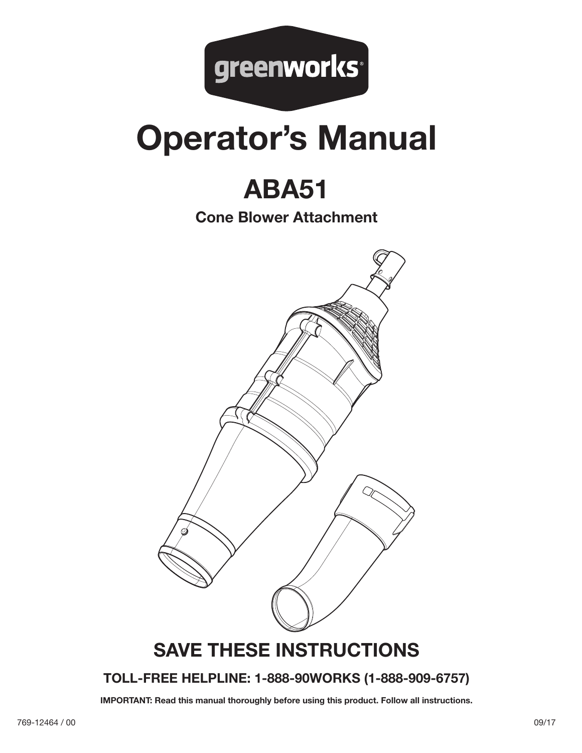

# **Operator's Manual**

## **ABA51**

**Cone Blower Attachment**



## **TOLL-FREE HELPLINE: 1-888-90WORKS (1-888-909-6757)**

**IMPORTANT: Read this manual thoroughly before using this product. Follow all instructions.**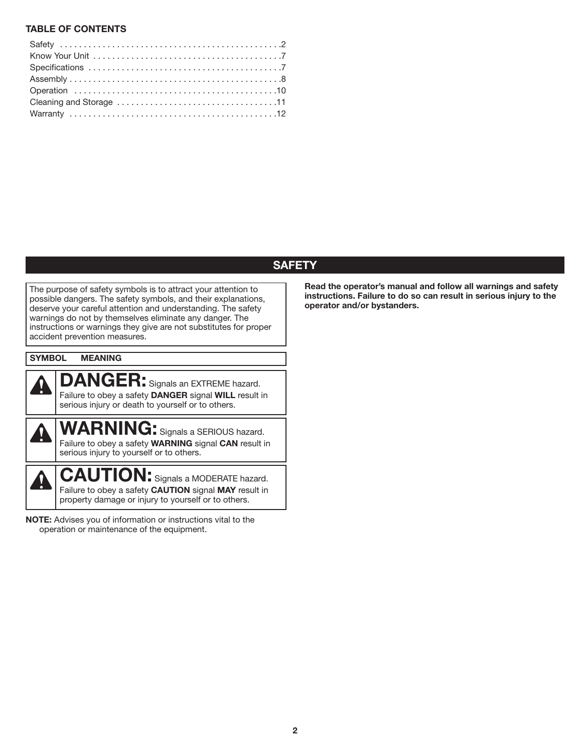#### **TABLE OF CONTENTS**

### **SAFETY**

The purpose of safety symbols is to attract your attention to possible dangers. The safety symbols, and their explanations, deserve your careful attention and understanding. The safety warnings do not by themselves eliminate any danger. The instructions or warnings they give are not substitutes for proper accident prevention measures.

| <b>SYMBOL</b> | <b>MEANING</b>                                                                                                                                                           |
|---------------|--------------------------------------------------------------------------------------------------------------------------------------------------------------------------|
|               | <b>DANGER:</b> Signals an EXTREME hazard.<br>Failure to obey a safety DANGER signal WILL result in<br>serious injury or death to yourself or to others.                  |
|               | <b>WARNING:</b> Signals a SERIOUS hazard.<br>Failure to obey a safety <b>WARNING</b> signal <b>CAN</b> result in<br>serious injury to yourself or to others.             |
|               | <b>CAUTION:</b> Signals a MODERATE hazard.<br>Failure to obey a safety <b>CAUTION</b> signal <b>MAY</b> result in<br>property damage or injury to yourself or to others. |

**NOTE:** Advises you of information or instructions vital to the operation or maintenance of the equipment.

**Read the operator's manual and follow all warnings and safety instructions. Failure to do so can result in serious injury to the operator and/or bystanders.**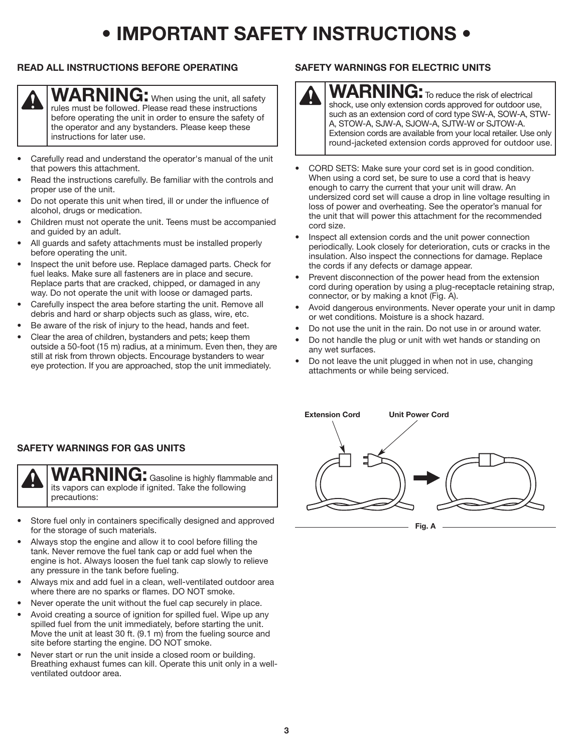## **• IMPORTANT SAFETY INSTRUCTIONS •**

#### **READ ALL INSTRUCTIONS BEFORE OPERATING**



**WARNING:** When using the unit, all safety rules must be followed. Please read these instructions before operating the unit in order to ensure the safety of the operator and any bystanders. Please keep these instructions for later use.

- Carefully read and understand the operator's manual of the unit that powers this attachment.
- Read the instructions carefully. Be familiar with the controls and proper use of the unit.
- Do not operate this unit when tired, ill or under the influence of alcohol, drugs or medication.
- Children must not operate the unit. Teens must be accompanied and guided by an adult.
- All guards and safety attachments must be installed properly before operating the unit.
- Inspect the unit before use. Replace damaged parts. Check for fuel leaks. Make sure all fasteners are in place and secure. Replace parts that are cracked, chipped, or damaged in any way. Do not operate the unit with loose or damaged parts.
- Carefully inspect the area before starting the unit. Remove all debris and hard or sharp objects such as glass, wire, etc.
- Be aware of the risk of injury to the head, hands and feet.
- Clear the area of children, bystanders and pets; keep them outside a 50-foot (15 m) radius, at a minimum. Even then, they are still at risk from thrown objects. Encourage bystanders to wear eye protection. If you are approached, stop the unit immediately.

#### **SAFETY WARNINGS FOR ELECTRIC UNITS**



**WARNING:** To reduce the risk of electrical shock, use only extension cords approved for outdoor use, such as an extension cord of cord type SW-A, SOW-A, STW-A, STOW-A, SJW-A, SJOW-A, SJTW-W or SJTOW-A. Extension cords are available from your local retailer. Use only round-jacketed extension cords approved for outdoor use.

- CORD SETS: Make sure your cord set is in good condition. When using a cord set, be sure to use a cord that is heavy enough to carry the current that your unit will draw. An undersized cord set will cause a drop in line voltage resulting in loss of power and overheating. See the operator's manual for the unit that will power this attachment for the recommended cord size.
- Inspect all extension cords and the unit power connection periodically. Look closely for deterioration, cuts or cracks in the insulation. Also inspect the connections for damage. Replace the cords if any defects or damage appear.
- Prevent disconnection of the power head from the extension cord during operation by using a plug-receptacle retaining strap, connector, or by making a knot (Fig. A).
- Avoid dangerous environments. Never operate your unit in damp or wet conditions. Moisture is a shock hazard.
- Do not use the unit in the rain. Do not use in or around water.
- Do not handle the plug or unit with wet hands or standing on any wet surfaces.
- Do not leave the unit plugged in when not in use, changing attachments or while being serviced.



**Fig. A**

#### **SAFETY WARNINGS FOR GAS UNITS**



**WARNING:** Gasoline is highly flammable and its vapors can explode if ignited. Take the following precautions:

- Store fuel only in containers specifically designed and approved for the storage of such materials.
- Always stop the engine and allow it to cool before filling the tank. Never remove the fuel tank cap or add fuel when the engine is hot. Always loosen the fuel tank cap slowly to relieve any pressure in the tank before fueling.
- Always mix and add fuel in a clean, well-ventilated outdoor area where there are no sparks or flames. DO NOT smoke.
- Never operate the unit without the fuel cap securely in place.
- Avoid creating a source of ignition for spilled fuel. Wipe up any spilled fuel from the unit immediately, before starting the unit. Move the unit at least 30 ft. (9.1 m) from the fueling source and site before starting the engine. DO NOT smoke.
- Never start or run the unit inside a closed room or building. Breathing exhaust fumes can kill. Operate this unit only in a wellventilated outdoor area.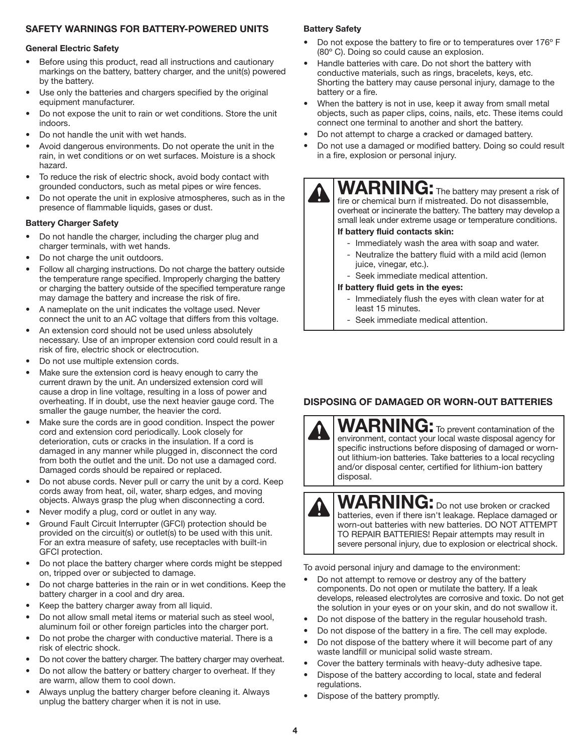#### **SAFETY WARNINGS FOR BATTERY-POWERED UNITS**

#### **General Electric Safety**

- Before using this product, read all instructions and cautionary markings on the battery, battery charger, and the unit(s) powered by the battery.
- Use only the batteries and chargers specified by the original equipment manufacturer.
- Do not expose the unit to rain or wet conditions. Store the unit indoors.
- Do not handle the unit with wet hands.
- Avoid dangerous environments. Do not operate the unit in the rain, in wet conditions or on wet surfaces. Moisture is a shock hazard.
- To reduce the risk of electric shock, avoid body contact with grounded conductors, such as metal pipes or wire fences.
- Do not operate the unit in explosive atmospheres, such as in the presence of flammable liquids, gases or dust.

#### **Battery Charger Safety**

- Do not handle the charger, including the charger plug and charger terminals, with wet hands.
- Do not charge the unit outdoors.
- Follow all charging instructions. Do not charge the battery outside the temperature range specified. Improperly charging the battery or charging the battery outside of the specified temperature range may damage the battery and increase the risk of fire.
- A nameplate on the unit indicates the voltage used. Never connect the unit to an AC voltage that differs from this voltage.
- An extension cord should not be used unless absolutely necessary. Use of an improper extension cord could result in a risk of fire, electric shock or electrocution.
- Do not use multiple extension cords.
- Make sure the extension cord is heavy enough to carry the current drawn by the unit. An undersized extension cord will cause a drop in line voltage, resulting in a loss of power and overheating. If in doubt, use the next heavier gauge cord. The smaller the gauge number, the heavier the cord.
- Make sure the cords are in good condition. Inspect the power cord and extension cord periodically. Look closely for deterioration, cuts or cracks in the insulation. If a cord is damaged in any manner while plugged in, disconnect the cord from both the outlet and the unit. Do not use a damaged cord. Damaged cords should be repaired or replaced.
- Do not abuse cords. Never pull or carry the unit by a cord. Keep cords away from heat, oil, water, sharp edges, and moving objects. Always grasp the plug when disconnecting a cord.
- Never modify a plug, cord or outlet in any way.
- Ground Fault Circuit Interrupter (GFCI) protection should be provided on the circuit(s) or outlet(s) to be used with this unit. For an extra measure of safety, use receptacles with built-in GFCI protection.
- Do not place the battery charger where cords might be stepped on, tripped over or subjected to damage.
- Do not charge batteries in the rain or in wet conditions. Keep the battery charger in a cool and dry area.
- Keep the battery charger away from all liquid.
- Do not allow small metal items or material such as steel wool, aluminum foil or other foreign particles into the charger port.
- Do not probe the charger with conductive material. There is a risk of electric shock.
- Do not cover the battery charger. The battery charger may overheat.
- Do not allow the battery or battery charger to overheat. If they are warm, allow them to cool down.
- Always unplug the battery charger before cleaning it. Always unplug the battery charger when it is not in use.

#### **Battery Safety**

- Do not expose the battery to fire or to temperatures over 176º F (80º C). Doing so could cause an explosion.
- Handle batteries with care. Do not short the battery with conductive materials, such as rings, bracelets, keys, etc. Shorting the battery may cause personal injury, damage to the battery or a fire.
- When the battery is not in use, keep it away from small metal objects, such as paper clips, coins, nails, etc. These items could connect one terminal to another and short the battery.
- Do not attempt to charge a cracked or damaged battery.
- Do not use a damaged or modified battery. Doing so could result in a fire, explosion or personal injury.



WARNING: The battery may present a risk of fire or chemical burn if mistreated. Do not disassemble, overheat or incinerate the battery. The battery may develop a small leak under extreme usage or temperature conditions.

#### **If battery fluid contacts skin:**

- Immediately wash the area with soap and water.
- Neutralize the battery fluid with a mild acid (lemon juice, vinegar, etc.).
- Seek immediate medical attention.

#### **If battery fluid gets in the eyes:**

- Immediately flush the eyes with clean water for at least 15 minutes.
- Seek immediate medical attention.

#### **DISPOSING OF DAMAGED OR WORN-OUT BATTERIES**



WARNING: To prevent contamination of the environment, contact your local waste disposal agency for specific instructions before disposing of damaged or wornout lithium-ion batteries. Take batteries to a local recycling and/or disposal center, certified for lithium-ion battery disposal.

## WARNING: Do not use broken or cracked

batteries, even if there isn't leakage. Replace damaged or worn-out batteries with new batteries. DO NOT ATTEMPT TO REPAIR BATTERIES! Repair attempts may result in severe personal injury, due to explosion or electrical shock.

To avoid personal injury and damage to the environment:

- Do not attempt to remove or destroy any of the battery components. Do not open or mutilate the battery. If a leak develops, released electrolytes are corrosive and toxic. Do not get the solution in your eyes or on your skin, and do not swallow it.
- Do not dispose of the battery in the regular household trash.
- Do not dispose of the battery in a fire. The cell may explode.
- Do not dispose of the battery where it will become part of any waste landfill or municipal solid waste stream.
- Cover the battery terminals with heavy-duty adhesive tape.
- Dispose of the battery according to local, state and federal regulations.
- Dispose of the battery promptly.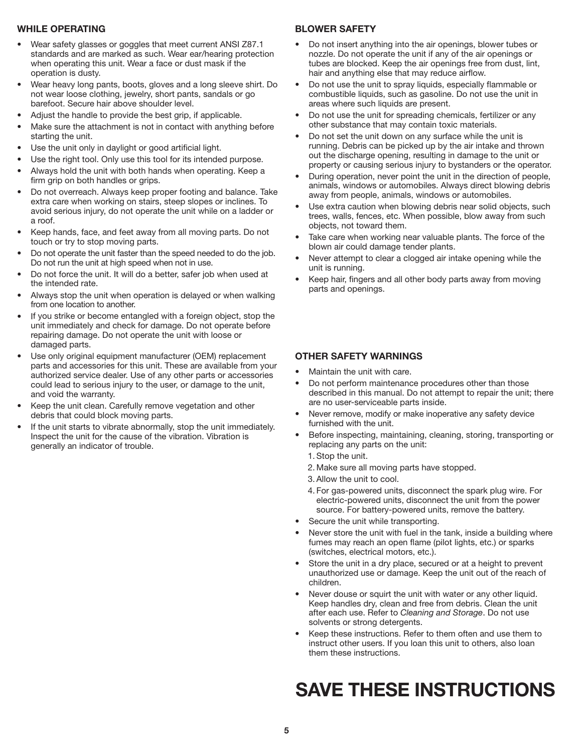#### **WHILE OPERATING**

- Wear safety glasses or goggles that meet current ANSI Z87.1 standards and are marked as such. Wear ear/hearing protection when operating this unit. Wear a face or dust mask if the operation is dusty.
- Wear heavy long pants, boots, gloves and a long sleeve shirt. Do not wear loose clothing, jewelry, short pants, sandals or go barefoot. Secure hair above shoulder level.
- Adjust the handle to provide the best grip, if applicable.
- Make sure the attachment is not in contact with anything before starting the unit.
- Use the unit only in daylight or good artificial light.
- Use the right tool. Only use this tool for its intended purpose.
- Always hold the unit with both hands when operating. Keep a firm grip on both handles or grips.
- Do not overreach. Always keep proper footing and balance. Take extra care when working on stairs, steep slopes or inclines. To avoid serious injury, do not operate the unit while on a ladder or a roof.
- Keep hands, face, and feet away from all moving parts. Do not touch or try to stop moving parts.
- Do not operate the unit faster than the speed needed to do the job. Do not run the unit at high speed when not in use.
- Do not force the unit. It will do a better, safer job when used at the intended rate.
- Always stop the unit when operation is delayed or when walking from one location to another.
- If you strike or become entangled with a foreign object, stop the unit immediately and check for damage. Do not operate before repairing damage. Do not operate the unit with loose or damaged parts.
- Use only original equipment manufacturer (OEM) replacement parts and accessories for this unit. These are available from your authorized service dealer. Use of any other parts or accessories could lead to serious injury to the user, or damage to the unit, and void the warranty.
- Keep the unit clean. Carefully remove vegetation and other debris that could block moving parts.
- If the unit starts to vibrate abnormally, stop the unit immediately. Inspect the unit for the cause of the vibration. Vibration is generally an indicator of trouble.

#### **BLOWER SAFETY**

- Do not insert anything into the air openings, blower tubes or nozzle. Do not operate the unit if any of the air openings or tubes are blocked. Keep the air openings free from dust, lint, hair and anything else that may reduce airflow.
- Do not use the unit to spray liquids, especially flammable or combustible liquids, such as gasoline. Do not use the unit in areas where such liquids are present.
- Do not use the unit for spreading chemicals, fertilizer or any other substance that may contain toxic materials.
- Do not set the unit down on any surface while the unit is running. Debris can be picked up by the air intake and thrown out the discharge opening, resulting in damage to the unit or property or causing serious injury to bystanders or the operator.
- During operation, never point the unit in the direction of people, animals, windows or automobiles. Always direct blowing debris away from people, animals, windows or automobiles.
- Use extra caution when blowing debris near solid objects, such trees, walls, fences, etc. When possible, blow away from such objects, not toward them.
- Take care when working near valuable plants. The force of the blown air could damage tender plants.
- Never attempt to clear a clogged air intake opening while the unit is running.
- Keep hair, fingers and all other body parts away from moving parts and openings.

#### **OTHER SAFETY WARNINGS**

- Maintain the unit with care.
- Do not perform maintenance procedures other than those described in this manual. Do not attempt to repair the unit; there are no user-serviceable parts inside.
- Never remove, modify or make inoperative any safety device furnished with the unit.
- Before inspecting, maintaining, cleaning, storing, transporting or replacing any parts on the unit:
	- 1. Stop the unit.
	- 2. Make sure all moving parts have stopped.
	- 3. Allow the unit to cool.
	- 4. For gas-powered units, disconnect the spark plug wire. For electric-powered units, disconnect the unit from the power source. For battery-powered units, remove the battery.
- Secure the unit while transporting.
- Never store the unit with fuel in the tank, inside a building where fumes may reach an open flame (pilot lights, etc.) or sparks (switches, electrical motors, etc.).
- Store the unit in a dry place, secured or at a height to prevent unauthorized use or damage. Keep the unit out of the reach of children.
- Never douse or squirt the unit with water or any other liquid. Keep handles dry, clean and free from debris. Clean the unit after each use. Refer to *Cleaning and Storage*. Do not use solvents or strong detergents.
- Keep these instructions. Refer to them often and use them to instruct other users. If you loan this unit to others, also loan them these instructions.

## **SAVE THESE INSTRUCTIONS**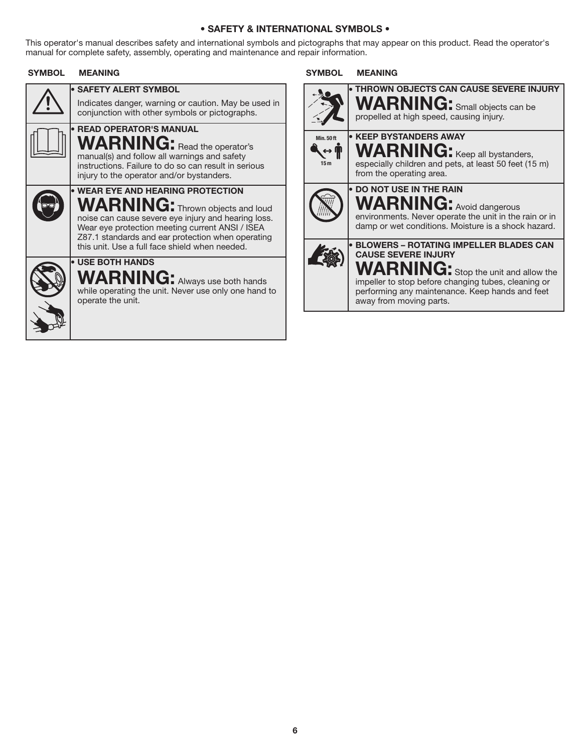#### **• SAFETY & INTERNATIONAL SYMBOLS •**

This operator's manual describes safety and international symbols and pictographs that may appear on this product. Read the operator's manual for complete safety, assembly, operating and maintenance and repair information.

#### **SYMBOL MEANING SYMBOL MEANING**

| • SAFETY ALERT SYMBOL<br>Indicates danger, warning or caution. May be used in<br>conjunction with other symbols or pictographs.                                                                                                                                                                                  |
|------------------------------------------------------------------------------------------------------------------------------------------------------------------------------------------------------------------------------------------------------------------------------------------------------------------|
| <b>• READ OPERATOR'S MANUAL</b><br><b>WARNING:</b> Read the operator's<br>manual(s) and follow all warnings and safety<br>instructions. Failure to do so can result in serious<br>injury to the operator and/or bystanders.                                                                                      |
| <b>• WEAR EYE AND HEARING PROTECTION</b><br>$\mathsf{\textbf{WARMIG:}}$ Thrown objects and loud<br>noise can cause severe eye injury and hearing loss.<br>Wear eye protection meeting current ANSI / ISEA<br>Z87.1 standards and ear protection when operating<br>this unit. Use a full face shield when needed. |
| • USE BOTH HANDS<br><b>WARNING:</b> Always use both hands<br>while operating the unit. Never use only one hand to<br>operate the unit.                                                                                                                                                                           |

|                                     | <b>THROWN OBJECTS CAN CAUSE SEVERE INJURY</b><br><b>WARNING:</b> Small objects can be<br>propelled at high speed, causing injury.                                                                                                                               |
|-------------------------------------|-----------------------------------------------------------------------------------------------------------------------------------------------------------------------------------------------------------------------------------------------------------------|
| <b>Min. 50ft</b><br>15 <sub>m</sub> | <b>• KEEP BYSTANDERS AWAY</b><br><b>WARNING:</b> Keep all bystanders,<br>especially children and pets, at least 50 feet (15 m)<br>from the operating area.                                                                                                      |
|                                     | <b>DO NOT USE IN THE RAIN</b><br><b>WARNING:</b> Avoid dangerous<br>environments. Never operate the unit in the rain or in<br>damp or wet conditions. Moisture is a shock hazard.                                                                               |
|                                     | <b>BLOWERS - ROTATING IMPELLER BLADES CAN</b><br><b>CAUSE SEVERE INJURY</b><br><b>WARNING:</b> Stop the unit and allow the<br>impeller to stop before changing tubes, cleaning or<br>performing any maintenance. Keep hands and feet<br>away from moving parts. |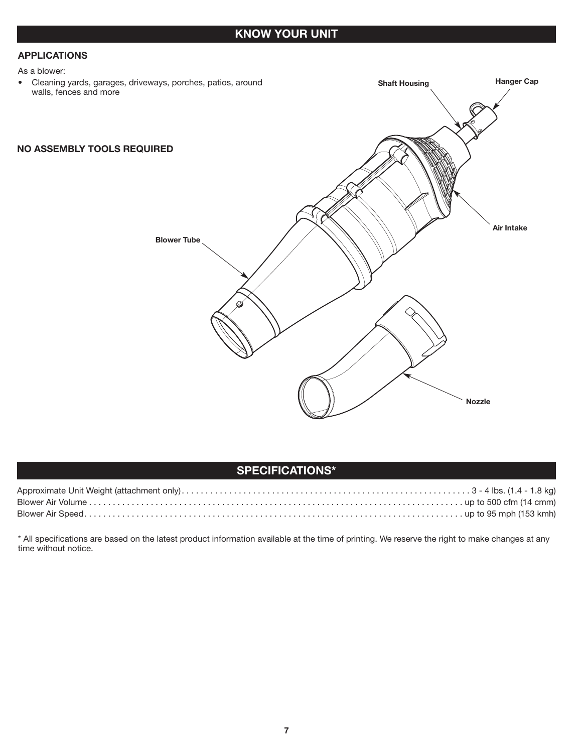#### **APPLICATIONS**

As a blower:

• Cleaning yards, garages, driveways, porches, patios, around walls, fences and more

#### **NO ASSEMBLY TOOLS REQUIRED**



**Shaft Housing Hanger Cap** 

#### **SPECIFICATIONS\***

\* All specifications are based on the latest product information available at the time of printing. We reserve the right to make changes at any time without notice.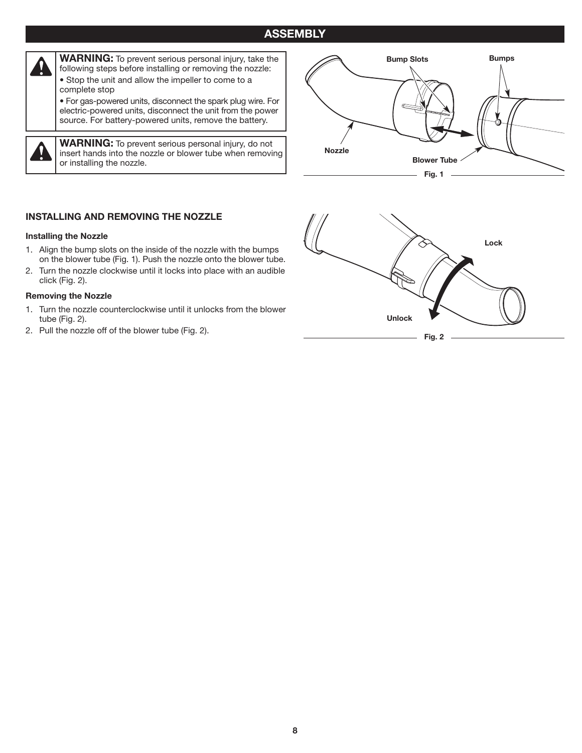#### **ASSEMBLY**



**WARNING:** To prevent serious personal injury, take the following steps before installing or removing the nozzle: • Stop the unit and allow the impeller to come to a complete stop • For gas-powered units, disconnect the spark plug wire. For

electric-powered units, disconnect the unit from the power source. For battery-powered units, remove the battery.

I

**WARNING:** To prevent serious personal injury, do not insert hands into the nozzle or blower tube when removing or installing the nozzle.



#### **INSTALLING AND REMOVING THE NOZZLE**

#### **Installing the Nozzle**

- 1. Align the bump slots on the inside of the nozzle with the bumps on the blower tube (Fig. 1). Push the nozzle onto the blower tube.
- 2. Turn the nozzle clockwise until it locks into place with an audible click (Fig. 2).

#### **Removing the Nozzle**

- 1. Turn the nozzle counterclockwise until it unlocks from the blower tube (Fig. 2).
- 

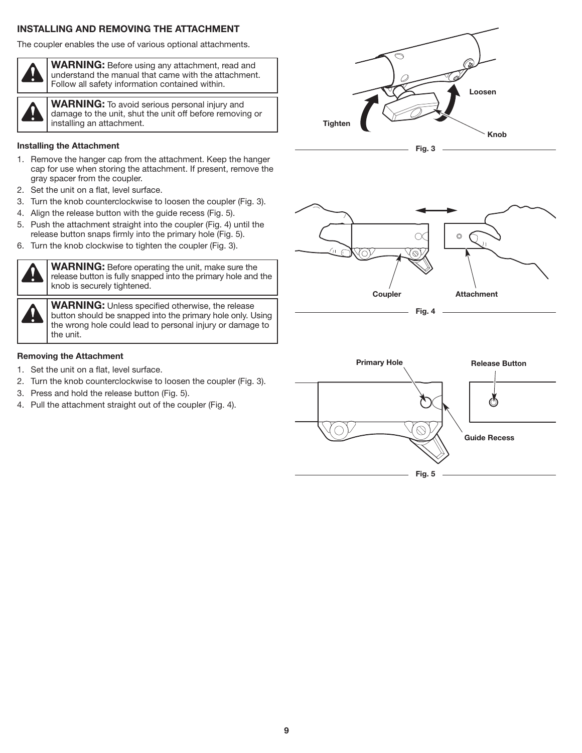#### **INSTALLING AND REMOVING THE ATTACHMENT**

The coupler enables the use of various optional attachments.



**WARNING:** Before using any attachment, read and understand the manual that came with the attachment. Follow all safety information contained within.

**WARNING:** To avoid serious personal injury and damage to the unit, shut the unit off before removing or installing an attachment.

#### **Installing the Attachment**

- 1. Remove the hanger cap from the attachment. Keep the hanger cap for use when storing the attachment. If present, remove the gray spacer from the coupler.
- 2. Set the unit on a flat, level surface.
- 3. Turn the knob counterclockwise to loosen the coupler (Fig. 3).
- 4. Align the release button with the guide recess (Fig. 5).
- 5. Push the attachment straight into the coupler (Fig. 4) until the release button snaps firmly into the primary hole (Fig. 5).
- 6. Turn the knob clockwise to tighten the coupler (Fig. 3).



**WARNING:** Before operating the unit, make sure the release button is fully snapped into the primary hole and the knob is securely tightened.

**WARNING:** Unless specified otherwise, the release button should be snapped into the primary hole only. Using the wrong hole could lead to personal injury or damage to the unit.

#### **Removing the Attachment**

- 1. Set the unit on a flat, level surface.
- 2. Turn the knob counterclockwise to loosen the coupler (Fig. 3).
- 3. Press and hold the release button (Fig. 5).
- 4. Pull the attachment straight out of the coupler (Fig. 4).





**Fig. 4**

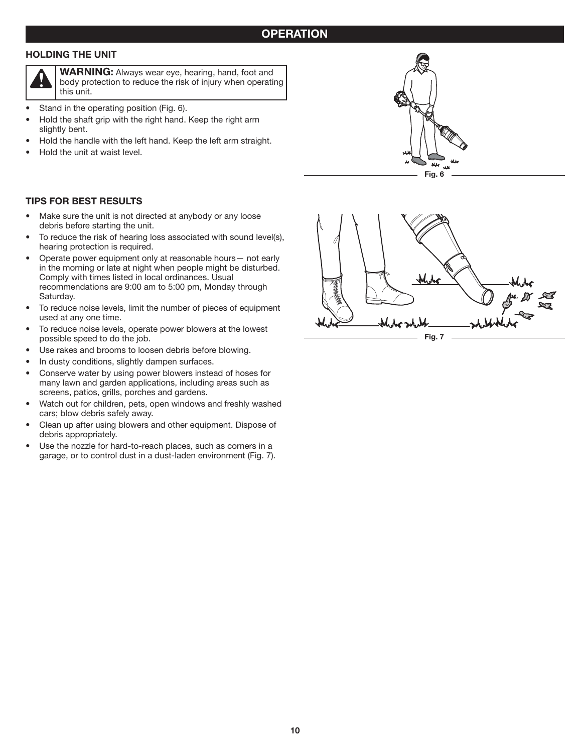#### **HOLDING THE UNIT**



**WARNING:** Always wear eye, hearing, hand, foot and body protection to reduce the risk of injury when operating this unit.

- Stand in the operating position (Fig. 6).
- Hold the shaft grip with the right hand. Keep the right arm slightly bent.
- Hold the handle with the left hand. Keep the left arm straight.
- Hold the unit at waist level.

#### **TIPS FOR BEST RESULTS**

- Make sure the unit is not directed at anybody or any loose debris before starting the unit.
- To reduce the risk of hearing loss associated with sound level(s), hearing protection is required.
- Operate power equipment only at reasonable hours— not early in the morning or late at night when people might be disturbed. Comply with times listed in local ordinances. Usual recommendations are 9:00 am to 5:00 pm, Monday through Saturday.
- To reduce noise levels, limit the number of pieces of equipment used at any one time.
- To reduce noise levels, operate power blowers at the lowest possible speed to do the job.
- Use rakes and brooms to loosen debris before blowing.
- In dusty conditions, slightly dampen surfaces.
- Conserve water by using power blowers instead of hoses for many lawn and garden applications, including areas such as screens, patios, grills, porches and gardens.
- Watch out for children, pets, open windows and freshly washed cars; blow debris safely away.
- Clean up after using blowers and other equipment. Dispose of debris appropriately.
- Use the nozzle for hard-to-reach places, such as corners in a garage, or to control dust in a dust-laden environment (Fig. 7).



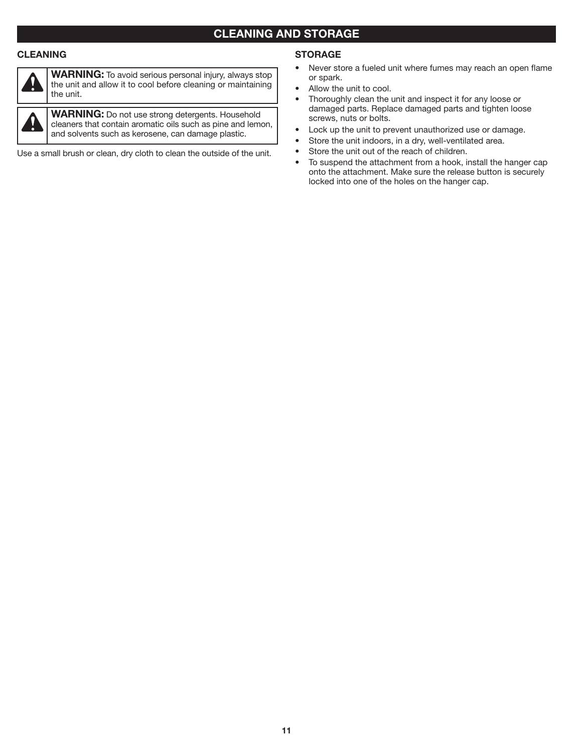### **CLEANING AND STORAGE**

#### **CLEANING**



**WARNING:** To avoid serious personal injury, always stop the unit and allow it to cool before cleaning or maintaining the unit.

**WARNING:** Do not use strong detergents. Household cleaners that contain aromatic oils such as pine and lemon, and solvents such as kerosene, can damage plastic.

Use a small brush or clean, dry cloth to clean the outside of the unit.

#### **STORAGE**

- Never store a fueled unit where fumes may reach an open flame or spark.
- Allow the unit to cool.
- Thoroughly clean the unit and inspect it for any loose or damaged parts. Replace damaged parts and tighten loose screws, nuts or bolts.
- Lock up the unit to prevent unauthorized use or damage.
- Store the unit indoors, in a dry, well-ventilated area.
- Store the unit out of the reach of children.
- To suspend the attachment from a hook, install the hanger cap onto the attachment. Make sure the release button is securely locked into one of the holes on the hanger cap.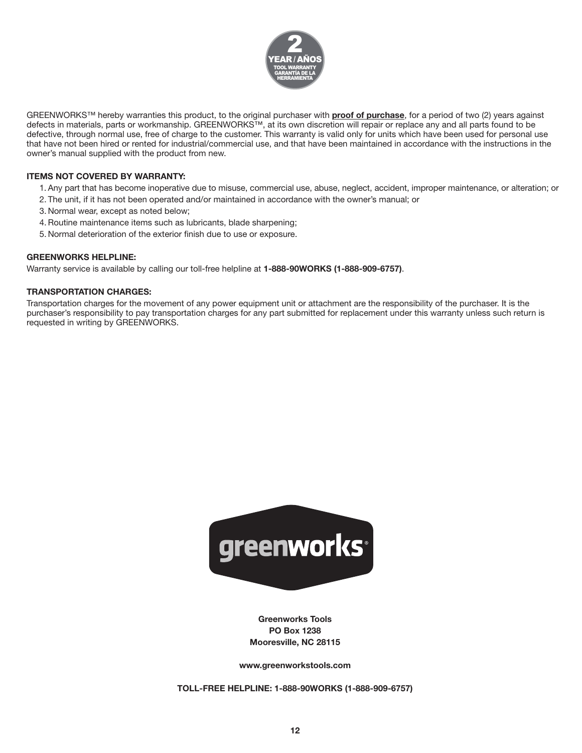

GREENWORKS™ hereby warranties this product, to the original purchaser with **proof of purchase**, for a period of two (2) years against defects in materials, parts or workmanship. GREENWORKS™, at its own discretion will repair or replace any and all parts found to be defective, through normal use, free of charge to the customer. This warranty is valid only for units which have been used for personal use that have not been hired or rented for industrial/commercial use, and that have been maintained in accordance with the instructions in the owner's manual supplied with the product from new.

#### **ITEMS NOT COVERED BY WARRANTY:**

- 1. Any part that has become inoperative due to misuse, commercial use, abuse, neglect, accident, improper maintenance, or alteration; or
- 2. The unit, if it has not been operated and/or maintained in accordance with the owner's manual; or
- 3. Normal wear, except as noted below;
- 4. Routine maintenance items such as lubricants, blade sharpening;
- 5. Normal deterioration of the exterior finish due to use or exposure.

#### **GREENWORKS HELPLINE:**

Warranty service is available by calling our toll-free helpline at **1-888-90WORKS (1-888-909-6757)**.

#### **TRANSPORTATION CHARGES:**

Transportation charges for the movement of any power equipment unit or attachment are the responsibility of the purchaser. It is the purchaser's responsibility to pay transportation charges for any part submitted for replacement under this warranty unless such return is requested in writing by GREENWORKS.



**Greenworks Tools PO Box 1238 Mooresville, NC 28115**

**www.greenworkstools.com**

**TOLL-FREE HELPLINE: 1-888-90WORKS (1-888-909-6757)**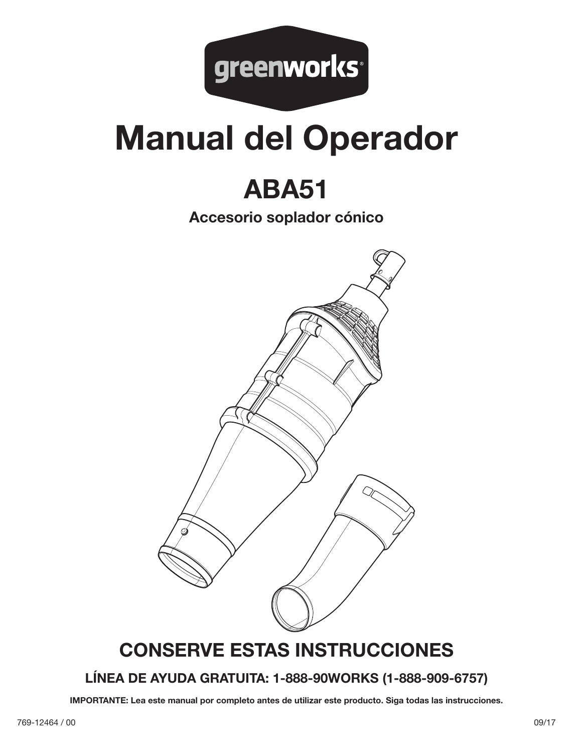

# **Manual del Operador**

## **ABA51**

**Accesorio soplador cónico**



## **CONSERVE ESTAS INSTRUCCIONES**

### **LÍNEA DE AYUDA GRATUITA: 1-888-90WORKS (1-888-909-6757)**

**IMPORTANTE: Lea este manual por completo antes de utilizar este producto. Siga todas las instrucciones.**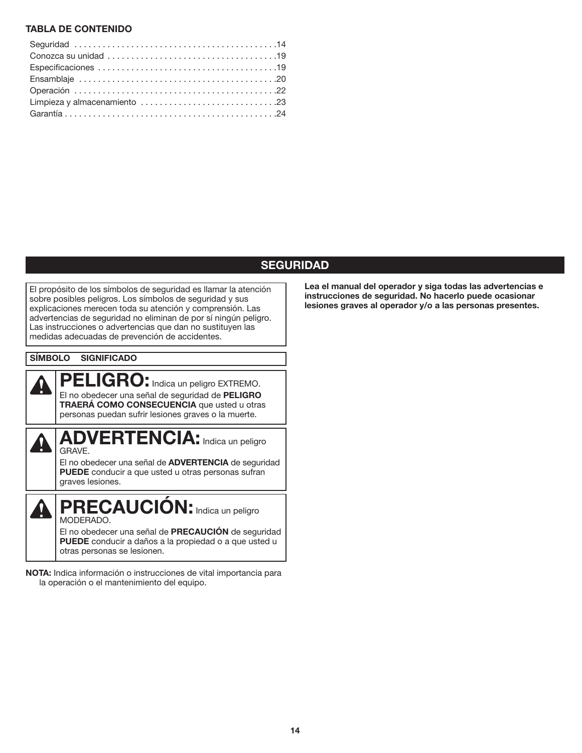#### **TABLA DE CONTENIDO**

#### **SEGURIDAD**

El propósito de los símbolos de seguridad es llamar la atención sobre posibles peligros. Los símbolos de seguridad y sus explicaciones merecen toda su atención y comprensión. Las advertencias de seguridad no eliminan de por sí ningún peligro. Las instrucciones o advertencias que dan no sustituyen las medidas adecuadas de prevención de accidentes.

#### **SÍMBOLO SIGNIFICADO**

 $\boldsymbol{\Omega}$ 



El no obedecer una señal de **ADVERTENCIA** de seguridad **PUEDE** conducir a que usted u otras personas sufran graves lesiones.

**PRECAUCIÓN:**Indica un peligro MODERADO. El no obedecer una señal de **PRECAUCIÓN** de seguridad **PUEDE** conducir a daños a la propiedad o a que usted u otras personas se lesionen.

**NOTA:** Indica información o instrucciones de vital importancia para la operación o el mantenimiento del equipo.

**Lea el manual del operador y siga todas las advertencias e instrucciones de seguridad. No hacerlo puede ocasionar lesiones graves al operador y/o a las personas presentes.**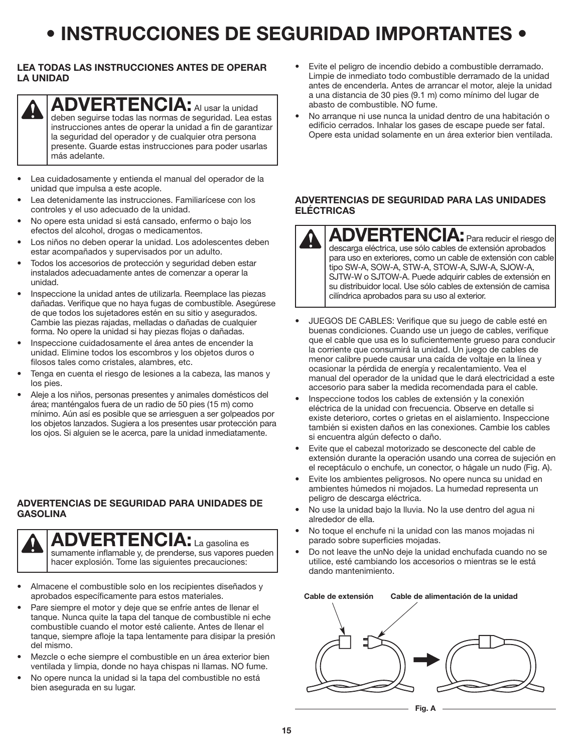## **• INSTRUCCIONES DE SEGURIDAD IMPORTANTES •**

#### **LEA TODAS LAS INSTRUCCIONES ANTES DE OPERAR LA UNIDAD**

## **ADVERTENCIA:** Al usar la unidad

deben seguirse todas las normas de seguridad. Lea estas instrucciones antes de operar la unidad a fin de garantizar la seguridad del operador y de cualquier otra persona presente. Guarde estas instrucciones para poder usarlas más adelante.

- Lea cuidadosamente y entienda el manual del operador de la unidad que impulsa a este acople.
- Lea detenidamente las instrucciones. Familiarícese con los controles y el uso adecuado de la unidad.
- No opere esta unidad si está cansado, enfermo o bajo los efectos del alcohol, drogas o medicamentos.
- Los niños no deben operar la unidad. Los adolescentes deben estar acompañados y supervisados por un adulto.
- Todos los accesorios de protección y seguridad deben estar instalados adecuadamente antes de comenzar a operar la unidad.
- Inspeccione la unidad antes de utilizarla. Reemplace las piezas dañadas. Verifique que no haya fugas de combustible. Asegúrese de que todos los sujetadores estén en su sitio y asegurados. Cambie las piezas rajadas, melladas o dañadas de cualquier forma. No opere la unidad si hay piezas flojas o dañadas.
- Inspeccione cuidadosamente el área antes de encender la unidad. Elimine todos los escombros y los objetos duros o filosos tales como cristales, alambres, etc.
- Tenga en cuenta el riesgo de lesiones a la cabeza, las manos y los pies.
- Aleje a los niños, personas presentes y animales domésticos del área; manténgalos fuera de un radio de 50 pies (15 m) como mínimo. Aún así es posible que se arriesguen a ser golpeados por los objetos lanzados. Sugiera a los presentes usar protección para los ojos. Si alguien se le acerca, pare la unidad inmediatamente.

#### **ADVERTENCIAS DE SEGURIDAD PARA UNIDADES DE GASOLINA**



**ADVERTENCIA:** La gasolina es sumamente inflamable y, de prenderse, sus vapores pueden hacer explosión. Tome las siguientes precauciones:

- Almacene el combustible solo en los recipientes diseñados y aprobados específicamente para estos materiales.
- Pare siempre el motor y deje que se enfríe antes de llenar el tanque. Nunca quite la tapa del tanque de combustible ni eche combustible cuando el motor esté caliente. Antes de llenar el tanque, siempre afloje la tapa lentamente para disipar la presión del mismo.
- Mezcle o eche siempre el combustible en un área exterior bien ventilada y limpia, donde no haya chispas ni llamas. NO fume.
- No opere nunca la unidad si la tapa del combustible no está bien asegurada en su lugar.
- Evite el peligro de incendio debido a combustible derramado. Limpie de inmediato todo combustible derramado de la unidad antes de encenderla. Antes de arrancar el motor, aleje la unidad a una distancia de 30 pies (9.1 m) como mínimo del lugar de abasto de combustible. NO fume.
- No arranque ni use nunca la unidad dentro de una habitación o edificio cerrados. Inhalar los gases de escape puede ser fatal. Opere esta unidad solamente en un área exterior bien ventilada.

#### **ADVERTENCIAS DE SEGURIDAD PARA LAS UNIDADES ELÉCTRICAS**

**ADVERTENCIA:** Para reducir el riesgo de descarga eléctrica, use sólo cables de extensión aprobados para uso en exteriores, como un cable de extensión con cable tipo SW-A, SOW-A, STW-A, STOW-A, SJW-A, SJOW-A, SJTW-W o SJTOW-A. Puede adquirir cables de extensión en su distribuidor local. Use sólo cables de extensión de camisa cilíndrica aprobados para su uso al exterior.

- JUEGOS DE CABLES: Verifique que su juego de cable esté en buenas condiciones. Cuando use un juego de cables, verifique que el cable que usa es lo suficientemente grueso para conducir la corriente que consumirá la unidad. Un juego de cables de menor calibre puede causar una caída de voltaje en la línea y ocasionar la pérdida de energía y recalentamiento. Vea el manual del operador de la unidad que le dará electricidad a este accesorio para saber la medida recomendada para el cable.
- Inspeccione todos los cables de extensión y la conexión eléctrica de la unidad con frecuencia. Observe en detalle si existe deterioro, cortes o grietas en el aislamiento. Inspeccione también si existen daños en las conexiones. Cambie los cables si encuentra algún defecto o daño.
- Evite que el cabezal motorizado se desconecte del cable de extensión durante la operación usando una correa de sujeción en el receptáculo o enchufe, un conector, o hágale un nudo (Fig. A).
- Evite los ambientes peligrosos. No opere nunca su unidad en ambientes húmedos ni mojados. La humedad representa un peligro de descarga eléctrica.
- No use la unidad bajo la lluvia. No la use dentro del agua ni alrededor de ella.
- No toque el enchufe ni la unidad con las manos mojadas ni parado sobre superficies mojadas.
- Do not leave the unNo deje la unidad enchufada cuando no se utilice, esté cambiando los accesorios o mientras se le está dando mantenimiento.

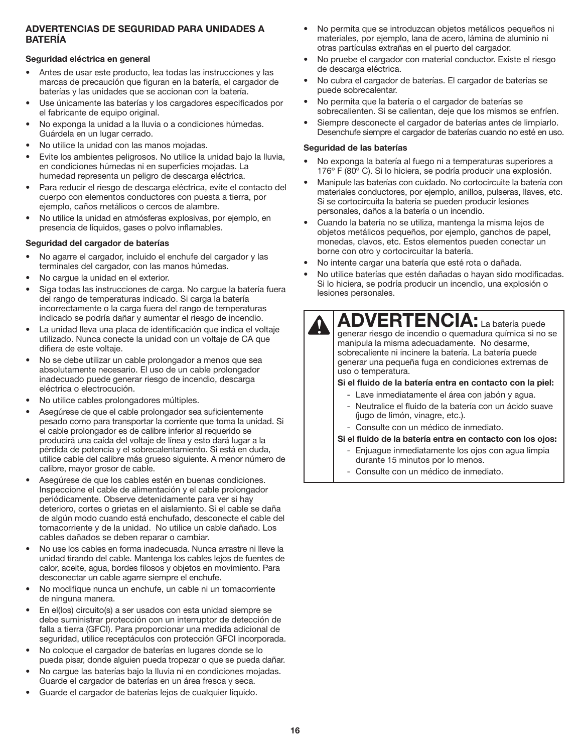#### **ADVERTENCIAS DE SEGURIDAD PARA UNIDADES A BATERÍA**

#### **Seguridad eléctrica en general**

- Antes de usar este producto, lea todas las instrucciones y las marcas de precaución que figuran en la batería, el cargador de baterías y las unidades que se accionan con la batería.
- Use únicamente las baterías y los cargadores especificados por el fabricante de equipo original.
- No exponga la unidad a la lluvia o a condiciones húmedas. Guárdela en un lugar cerrado.
- No utilice la unidad con las manos mojadas.
- Evite los ambientes peligrosos. No utilice la unidad bajo la lluvia, en condiciones húmedas ni en superficies mojadas. La humedad representa un peligro de descarga eléctrica.
- Para reducir el riesgo de descarga eléctrica, evite el contacto del cuerpo con elementos conductores con puesta a tierra, por ejemplo, caños metálicos o cercos de alambre.
- No utilice la unidad en atmósferas explosivas, por ejemplo, en presencia de líquidos, gases o polvo inflamables.

#### **Seguridad del cargador de baterías**

- No agarre el cargador, incluido el enchufe del cargador y las terminales del cargador, con las manos húmedas.
- No cargue la unidad en el exterior.
- Siga todas las instrucciones de carga. No cargue la batería fuera del rango de temperaturas indicado. Si carga la batería incorrectamente o la carga fuera del rango de temperaturas indicado se podría dañar y aumentar el riesgo de incendio.
- La unidad lleva una placa de identificación que indica el voltaje utilizado. Nunca conecte la unidad con un voltaje de CA que difiera de este voltaje.
- No se debe utilizar un cable prolongador a menos que sea absolutamente necesario. El uso de un cable prolongador inadecuado puede generar riesgo de incendio, descarga eléctrica o electrocución.
- No utilice cables prolongadores múltiples.
- Asegúrese de que el cable prolongador sea suficientemente pesado como para transportar la corriente que toma la unidad. Si el cable prolongador es de calibre inferior al requerido se producirá una caída del voltaje de línea y esto dará lugar a la pérdida de potencia y el sobrecalentamiento. Si está en duda, utilice cable del calibre más grueso siguiente. A menor número de calibre, mayor grosor de cable.
- Asegúrese de que los cables estén en buenas condiciones. Inspeccione el cable de alimentación y el cable prolongador periódicamente. Observe detenidamente para ver si hay deterioro, cortes o grietas en el aislamiento. Si el cable se daña de algún modo cuando está enchufado, desconecte el cable del tomacorriente y de la unidad. No utilice un cable dañado. Los cables dañados se deben reparar o cambiar.
- No use los cables en forma inadecuada. Nunca arrastre ni lleve la unidad tirando del cable. Mantenga los cables lejos de fuentes de calor, aceite, agua, bordes filosos y objetos en movimiento. Para desconectar un cable agarre siempre el enchufe.
- No modifique nunca un enchufe, un cable ni un tomacorriente de ninguna manera.
- En el(los) circuito(s) a ser usados con esta unidad siempre se debe suministrar protección con un interruptor de detección de falla a tierra (GFCI). Para proporcionar una medida adicional de seguridad, utilice receptáculos con protección GFCI incorporada.
- No coloque el cargador de baterías en lugares donde se lo pueda pisar, donde alguien pueda tropezar o que se pueda dañar.
- No cargue las baterías bajo la lluvia ni en condiciones mojadas. Guarde el cargador de baterías en un área fresca y seca.
- Guarde el cargador de baterías lejos de cualquier líquido.
- No permita que se introduzcan objetos metálicos pequeños ni materiales, por ejemplo, lana de acero, lámina de aluminio ni otras partículas extrañas en el puerto del cargador.
- No pruebe el cargador con material conductor. Existe el riesgo de descarga eléctrica.
- No cubra el cargador de baterías. El cargador de baterías se puede sobrecalentar.
- No permita que la batería o el cargador de baterías se sobrecalienten. Si se calientan, deje que los mismos se enfríen.
- Siempre desconecte el cargador de baterías antes de limpiarlo. Desenchufe siempre el cargador de baterías cuando no esté en uso.

#### **Seguridad de las baterías**

- No exponga la batería al fuego ni a temperaturas superiores a 176º F (80º C). Si lo hiciera, se podría producir una explosión.
- Manipule las baterías con cuidado. No cortocircuite la batería con materiales conductores, por ejemplo, anillos, pulseras, llaves, etc. Si se cortocircuita la batería se pueden producir lesiones personales, daños a la batería o un incendio.
- Cuando la batería no se utiliza, mantenga la misma lejos de objetos metálicos pequeños, por ejemplo, ganchos de papel, monedas, clavos, etc. Estos elementos pueden conectar un borne con otro y cortocircuitar la batería.
- No intente cargar una batería que esté rota o dañada.
- No utilice baterías que estén dañadas o hayan sido modificadas. Si lo hiciera, se podría producir un incendio, una explosión o lesiones personales.

### **ADVERTENCIA:** La batería puede

generar riesgo de incendio o quemadura química si no se manipula la misma adecuadamente. No desarme, sobrecaliente ni incinere la batería. La batería puede generar una pequeña fuga en condiciones extremas de uso o temperatura.

#### **Si el fluido de la batería entra en contacto con la piel:**

- Lave inmediatamente el área con jabón y agua.
- Neutralice el fluido de la batería con un ácido suave (jugo de limón, vinagre, etc.).
- Consulte con un médico de inmediato.

#### **Si el fluido de la batería entra en contacto con los ojos:**

- Enjuague inmediatamente los ojos con agua limpia durante 15 minutos por lo menos.
- Consulte con un médico de inmediato.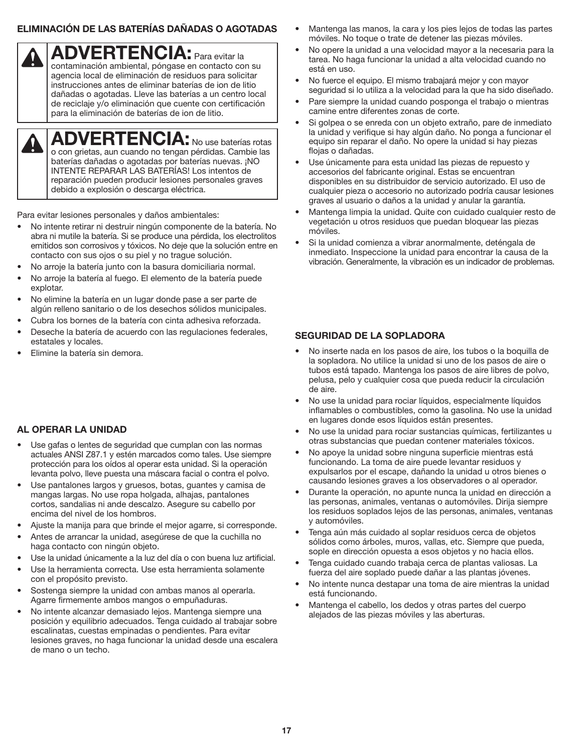#### **ELIMINACIÓN DE LAS BATERÍAS DAÑADAS O AGOTADAS**

**ADVERTENCIA:** Para evitar la

contaminación ambiental, póngase en contacto con su agencia local de eliminación de residuos para solicitar instrucciones antes de eliminar baterías de ion de litio dañadas o agotadas. Lleve las baterías a un centro local de reciclaje y/o eliminación que cuente con certificación para la eliminación de baterías de ion de litio.

**ADVERTENCIA:** No use baterías rotas o con grietas, aun cuando no tengan pérdidas. Cambie las baterías dañadas o agotadas por baterías nuevas. ¡NO INTENTE REPARAR LAS BATERÍAS! Los intentos de reparación pueden producir lesiones personales graves debido a explosión o descarga eléctrica.

Para evitar lesiones personales y daños ambientales:

- No intente retirar ni destruir ningún componente de la batería. No abra ni mutile la batería. Si se produce una pérdida, los electrolitos emitidos son corrosivos y tóxicos. No deje que la solución entre en contacto con sus ojos o su piel y no trague solución.
- No arroje la batería junto con la basura domiciliaria normal.
- No arroje la batería al fuego. El elemento de la batería puede explotar.
- No elimine la batería en un lugar donde pase a ser parte de algún relleno sanitario o de los desechos sólidos municipales.
- Cubra los bornes de la batería con cinta adhesiva reforzada.
- Deseche la batería de acuerdo con las regulaciones federales, estatales y locales.
- Elimine la batería sin demora.

 $\boldsymbol{\Omega}$ 

#### **AL OPERAR LA UNIDAD**

- Use gafas o lentes de seguridad que cumplan con las normas actuales ANSI Z87.1 y estén marcados como tales. Use siempre protección para los oídos al operar esta unidad. Si la operación levanta polvo, lleve puesta una máscara facial o contra el polvo.
- Use pantalones largos y gruesos, botas, guantes y camisa de mangas largas. No use ropa holgada, alhajas, pantalones cortos, sandalias ni ande descalzo. Asegure su cabello por encima del nivel de los hombros.
- Ajuste la manija para que brinde el mejor agarre, si corresponde.
- Antes de arrancar la unidad, asegúrese de que la cuchilla no haga contacto con ningún objeto.
- Use la unidad únicamente a la luz del día o con buena luz artificial.
- Use la herramienta correcta. Use esta herramienta solamente con el propósito previsto.
- Sostenga siempre la unidad con ambas manos al operarla. Agarre firmemente ambos mangos o empuñaduras.
- No intente alcanzar demasiado lejos. Mantenga siempre una posición y equilibrio adecuados. Tenga cuidado al trabajar sobre escalinatas, cuestas empinadas o pendientes. Para evitar lesiones graves, no haga funcionar la unidad desde una escalera de mano o un techo.
- Mantenga las manos, la cara y los pies lejos de todas las partes móviles. No toque o trate de detener las piezas móviles.
- No opere la unidad a una velocidad mayor a la necesaria para la tarea. No haga funcionar la unidad a alta velocidad cuando no está en uso.
- No fuerce el equipo. El mismo trabajará mejor y con mayor seguridad si lo utiliza a la velocidad para la que ha sido diseñado.
- Pare siempre la unidad cuando posponga el trabajo o mientras camine entre diferentes zonas de corte.
- Si golpea o se enreda con un objeto extraño, pare de inmediato la unidad y verifique si hay algún daño. No ponga a funcionar el equipo sin reparar el daño. No opere la unidad si hay piezas flojas o dañadas.
- Use únicamente para esta unidad las piezas de repuesto y accesorios del fabricante original. Estas se encuentran disponibles en su distribuidor de servicio autorizado. El uso de cualquier pieza o accesorio no autorizado podría causar lesiones graves al usuario o daños a la unidad y anular la garantía.
- Mantenga limpia la unidad. Quite con cuidado cualquier resto de vegetación u otros residuos que puedan bloquear las piezas móviles.
- Si la unidad comienza a vibrar anormalmente, deténgala de inmediato. Inspeccione la unidad para encontrar la causa de la vibración. Generalmente, la vibración es un indicador de problemas.

#### **SEGURIDAD DE LA SOPLADORA**

- No inserte nada en los pasos de aire, los tubos o la boquilla de la sopladora. No utilice la unidad si uno de los pasos de aire o tubos está tapado. Mantenga los pasos de aire libres de polvo, pelusa, pelo y cualquier cosa que pueda reducir la circulación de aire.
- No use la unidad para rociar líquidos, especialmente líquidos inflamables o combustibles, como la gasolina. No use la unidad en lugares donde esos líquidos están presentes.
- No use la unidad para rociar sustancias químicas, fertilizantes u otras substancias que puedan contener materiales tóxicos.
- No apoye la unidad sobre ninguna superficie mientras está funcionando. La toma de aire puede levantar residuos y expulsarlos por el escape, dañando la unidad u otros bienes o causando lesiones graves a los observadores o al operador.
- Durante la operación, no apunte nunca la unidad en dirección a las personas, animales, ventanas o automóviles. Dirija siempre los residuos soplados lejos de las personas, animales, ventanas y automóviles.
- Tenga aún más cuidado al soplar residuos cerca de objetos sólidos como árboles, muros, vallas, etc. Siempre que pueda, sople en dirección opuesta a esos objetos y no hacia ellos.
- Tenga cuidado cuando trabaja cerca de plantas valiosas. La fuerza del aire soplado puede dañar a las plantas jóvenes.
- No intente nunca destapar una toma de aire mientras la unidad está funcionando.
- Mantenga el cabello, los dedos y otras partes del cuerpo alejados de las piezas móviles y las aberturas.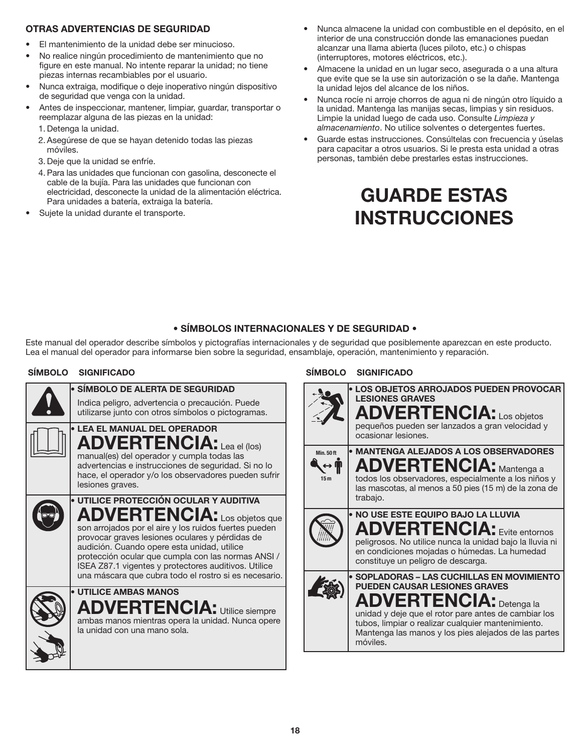#### **OTRAS ADVERTENCIAS DE SEGURIDAD**

- El mantenimiento de la unidad debe ser minucioso.
- No realice ningún procedimiento de mantenimiento que no figure en este manual. No intente reparar la unidad; no tiene piezas internas recambiables por el usuario.
- Nunca extraiga, modifique o deje inoperativo ningún dispositivo de seguridad que venga con la unidad.
- Antes de inspeccionar, mantener, limpiar, guardar, transportar o reemplazar alguna de las piezas en la unidad:
	- 1. Detenga la unidad.
	- 2. Asegúrese de que se hayan detenido todas las piezas móviles.
	- 3. Deje que la unidad se enfríe.
	- 4. Para las unidades que funcionan con gasolina, desconecte el cable de la bujía. Para las unidades que funcionan con electricidad, desconecte la unidad de la alimentación eléctrica. Para unidades a batería, extraiga la batería.
- Sujete la unidad durante el transporte.
- Nunca almacene la unidad con combustible en el depósito, en el interior de una construcción donde las emanaciones puedan alcanzar una llama abierta (luces piloto, etc.) o chispas (interruptores, motores eléctricos, etc.).
- Almacene la unidad en un lugar seco, asegurada o a una altura que evite que se la use sin autorización o se la dañe. Mantenga la unidad lejos del alcance de los niños.
- Nunca rocíe ni arroje chorros de agua ni de ningún otro líquido a la unidad. Mantenga las manijas secas, limpias y sin residuos. Limpie la unidad luego de cada uso. Consulte *Limpieza y almacenamiento*. No utilice solventes o detergentes fuertes.
- Guarde estas instrucciones. Consúltelas con frecuencia y úselas para capacitar a otros usuarios. Si le presta esta unidad a otras personas, también debe prestarles estas instrucciones.

## **GUARDE ESTAS INSTRUCCIONES**

#### **• SÍMBOLOS INTERNACIONALES Y DE SEGURIDAD •**

Este manual del operador describe símbolos y pictografías internacionales y de seguridad que posiblemente aparezcan en este producto. Lea el manual del operador para informarse bien sobre la seguridad, ensamblaje, operación, mantenimiento y reparación.

| • SÍMBOLO DE ALERTA DE SEGURIDAD<br>Indica peligro, advertencia o precaución. Puede<br>utilizarse junto con otros símbolos o pictogramas.                                                                                                                                                                                                                                                                       |
|-----------------------------------------------------------------------------------------------------------------------------------------------------------------------------------------------------------------------------------------------------------------------------------------------------------------------------------------------------------------------------------------------------------------|
| <b>• LEA EL MANUAL DEL OPERADOR</b><br><b>ADVERTENCIA:</b> Lea el (los)<br>manual(es) del operador y cumpla todas las<br>advertencias e instrucciones de seguridad. Si no lo<br>hace, el operador y/o los observadores pueden sufrir<br>lesiones graves.                                                                                                                                                        |
| · UTILICE PROTECCIÓN OCULAR Y AUDITIVA<br><b>ADVERTENCIA:</b> Los objetos que<br>son arrojados por el aire y los ruidos fuertes pueden<br>provocar graves lesiones oculares y pérdidas de<br>audición. Cuando opere esta unidad, utilice<br>protección ocular que cumpla con las normas ANSI /<br>ISEA Z87.1 vigentes y protectores auditivos. Utilice<br>una máscara que cubra todo el rostro si es necesario. |
| <b>• UTILICE AMBAS MANOS</b><br><b>ADVERTENCIA: Utilice siempre</b><br>ambas manos mientras opera la unidad. Nunca opere<br>la unidad con una mano sola.                                                                                                                                                                                                                                                        |

#### **SÍMBOLO SIGNIFICADO SÍMBOLO SIGNIFICADO**

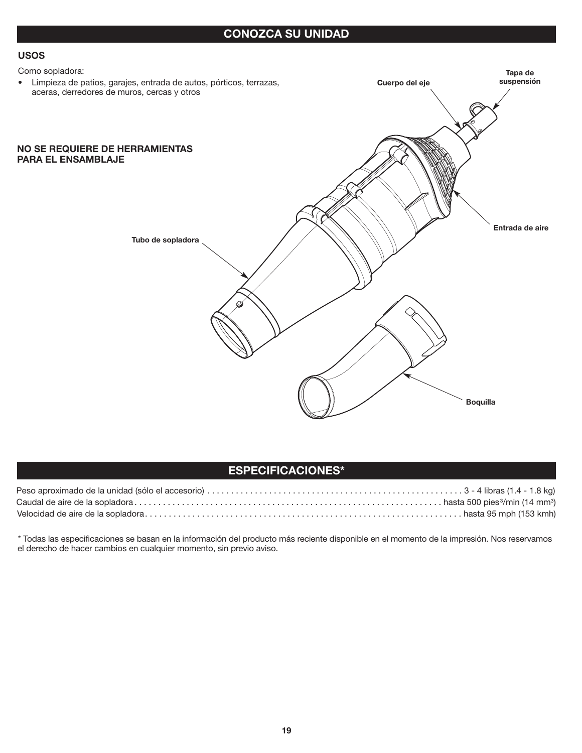#### **CONOZCA SU UNIDAD**

#### **USOS**

#### Como sopladora:

• Limpieza de patios, garajes, entrada de autos, pórticos, terrazas, aceras, derredores de muros, cercas y otros

#### **NO SE REQUIERE DE HERRAMIENTAS PARA EL ENSAMBLAJE**



#### **ESPECIFICACIONES\***

\* Todas las especificaciones se basan en la información del producto más reciente disponible en el momento de la impresión. Nos reservamos el derecho de hacer cambios en cualquier momento, sin previo aviso.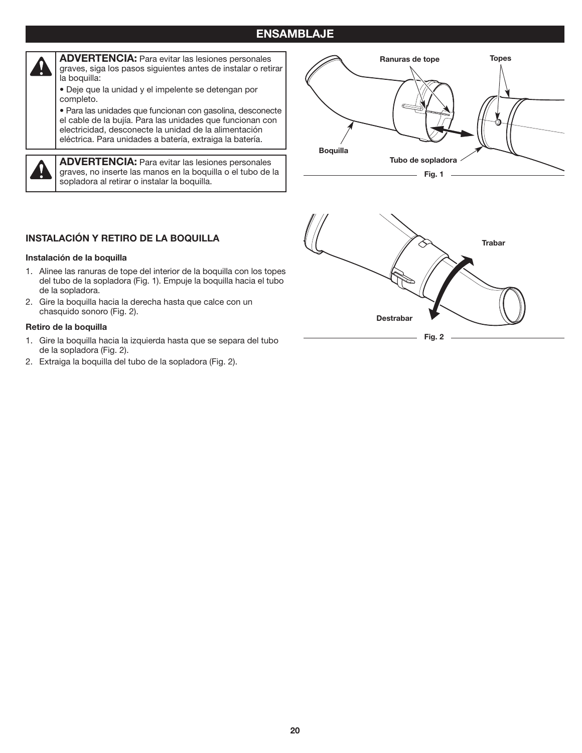#### **ENSAMBLAJE**



**ADVERTENCIA:** Para evitar las lesiones personales graves, siga los pasos siguientes antes de instalar o retirar la boquilla:

• Deje que la unidad y el impelente se detengan por completo.

• Para las unidades que funcionan con gasolina, desconecte el cable de la bujía. Para las unidades que funcionan con electricidad, desconecte la unidad de la alimentación eléctrica. Para unidades a batería, extraiga la batería.

**ADVERTENCIA:** Para evitar las lesiones personales graves, no inserte las manos en la boquilla o el tubo de la sopladora al retirar o instalar la boquilla.



#### **INSTALACIÓN Y RETIRO DE LA BOQUILLA**

#### **Instalación de la boquilla**

- 1. Alinee las ranuras de tope del interior de la boquilla con los topes del tubo de la sopladora (Fig. 1). Empuje la boquilla hacia el tubo de la sopladora.
- 2. Gire la boquilla hacia la derecha hasta que calce con un chasquido sonoro (Fig. 2).

#### **Retiro de la boquilla**

- 1. Gire la boquilla hacia la izquierda hasta que se separa del tubo de la sopladora (Fig. 2).
- 2. Extraiga la boquilla del tubo de la sopladora (Fig. 2).

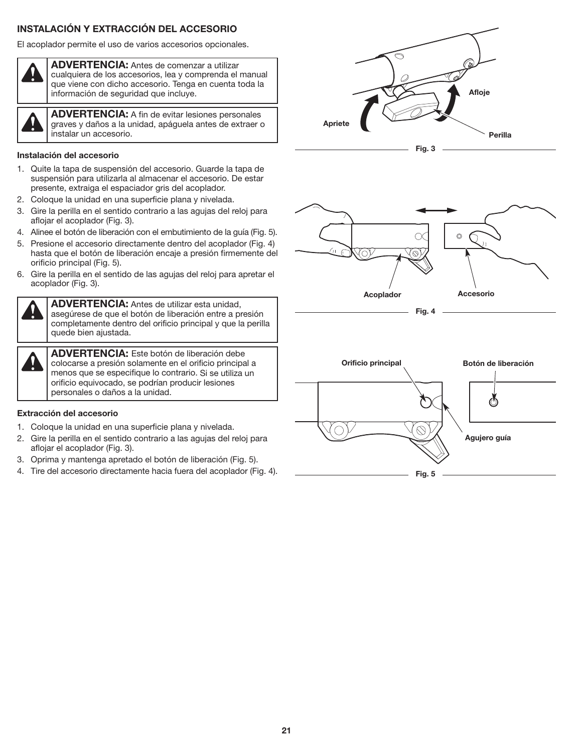#### **INSTALACIÓN Y EXTRACCIÓN DEL ACCESORIO**

El acoplador permite el uso de varios accesorios opcionales.



**ADVERTENCIA:** Antes de comenzar a utilizar cualquiera de los accesorios, lea y comprenda el manual que viene con dicho accesorio. Tenga en cuenta toda la información de seguridad que incluye.

**ADVERTENCIA:** A fin de evitar lesiones personales graves y daños a la unidad, apáguela antes de extraer o instalar un accesorio.

#### **Instalación del accesorio**

- 1. Quite la tapa de suspensión del accesorio. Guarde la tapa de suspensión para utilizarla al almacenar el accesorio. De estar presente, extraiga el espaciador gris del acoplador.
- 2. Coloque la unidad en una superficie plana y nivelada.
- 3. Gire la perilla en el sentido contrario a las agujas del reloj para aflojar el acoplador (Fig. 3).
- 4. Alinee el botón de liberación con el embutimiento de la guía (Fig. 5).
- 5. Presione el accesorio directamente dentro del acoplador (Fig. 4) hasta que el botón de liberación encaje a presión firmemente del orificio principal (Fig. 5).
- 6. Gire la perilla en el sentido de las agujas del reloj para apretar el acoplador (Fig. 3).

**ADVERTENCIA:** Antes de utilizar esta unidad, asegúrese de que el botón de liberación entre a presión completamente dentro del orificio principal y que la perilla quede bien ajustada.

**ADVERTENCIA:** Este botón de liberación debe colocarse a presión solamente en el orificio principal a menos que se especifique lo contrario. Si se utiliza un orificio equivocado, se podrían producir lesiones personales o daños a la unidad.

#### **Extracción del accesorio**

- 1. Coloque la unidad en una superficie plana y nivelada.
- 2. Gire la perilla en el sentido contrario a las agujas del reloj para aflojar el acoplador (Fig. 3).
- 3. Oprima y mantenga apretado el botón de liberación (Fig. 5).
- 4. Tire del accesorio directamente hacia fuera del acoplador (Fig. 4).





**Fig. 4**

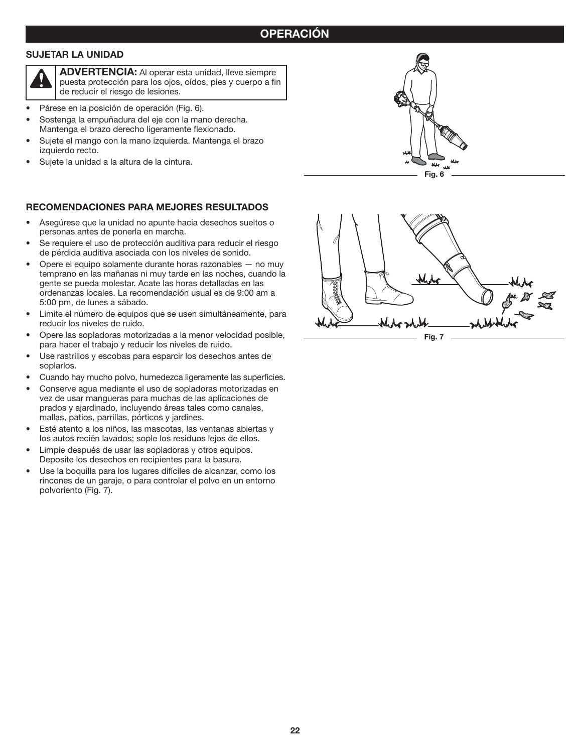#### **SUJETAR LA UNIDAD**



**ADVERTENCIA:** Al operar esta unidad, lleve siempre puesta protección para los ojos, oídos, pies y cuerpo a fin de reducir el riesgo de lesiones.

- Párese en la posición de operación (Fig. 6).
- Sostenga la empuñadura del eje con la mano derecha. Mantenga el brazo derecho ligeramente flexionado.
- Sujete el mango con la mano izquierda. Mantenga el brazo izquierdo recto.
- Sujete la unidad a la altura de la cintura.

#### **RECOMENDACIONES PARA MEJORES RESULTADOS**

- Asegúrese que la unidad no apunte hacia desechos sueltos o personas antes de ponerla en marcha.
- Se requiere el uso de protección auditiva para reducir el riesgo de pérdida auditiva asociada con los niveles de sonido.
- Opere el equipo solamente durante horas razonables no muy temprano en las mañanas ni muy tarde en las noches, cuando la gente se pueda molestar. Acate las horas detalladas en las ordenanzas locales. La recomendación usual es de 9:00 am a 5:00 pm, de lunes a sábado.
- Limite el número de equipos que se usen simultáneamente, para reducir los niveles de ruido.
- Opere las sopladoras motorizadas a la menor velocidad posible, para hacer el trabajo y reducir los niveles de ruido.
- Use rastrillos y escobas para esparcir los desechos antes de soplarlos.
- Cuando hay mucho polvo, humedezca ligeramente las superficies.
- Conserve agua mediante el uso de sopladoras motorizadas en vez de usar mangueras para muchas de las aplicaciones de prados y ajardinado, incluyendo áreas tales como canales, mallas, patios, parrillas, pórticos y jardines.
- Esté atento a los niños, las mascotas, las ventanas abiertas y los autos recién lavados; sople los residuos lejos de ellos.
- Limpie después de usar las sopladoras y otros equipos. Deposite los desechos en recipientes para la basura.
- Use la boquilla para los lugares difíciles de alcanzar, como los rincones de un garaje, o para controlar el polvo en un entorno polvoriento (Fig. 7).



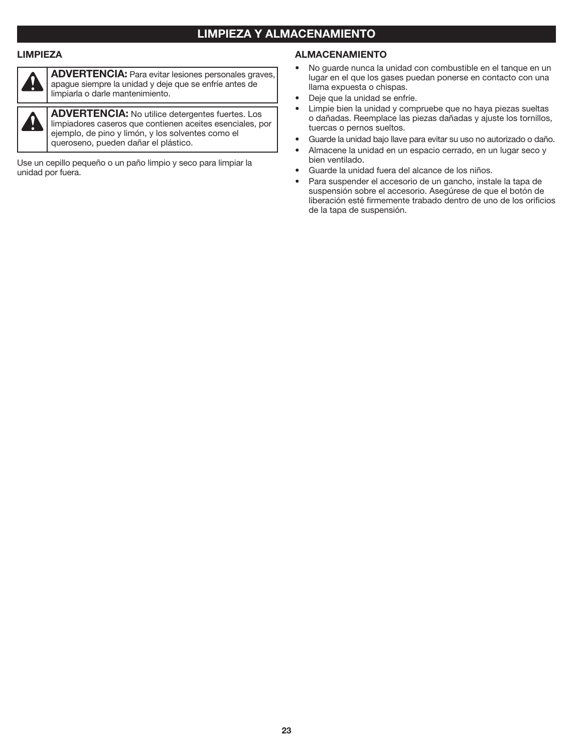#### **LIMPIEZA Y ALMACENAMIENTO**

#### **LIMPIEZA**



 $\eta$ 

**ADVERTENCIA:** Para evitar lesiones personales graves, apague siempre la unidad y deje que se enfríe antes de limpiarla o darle mantenimiento.

**ADVERTENCIA:** No utilice detergentes fuertes. Los limpiadores caseros que contienen aceites esenciales, por ejemplo, de pino y limón, y los solventes como el queroseno, pueden dañar el plástico.

Use un cepillo pequeño o un paño limpio y seco para limpiar la unidad por fuera.

#### **ALMACENAMIENTO**

- No guarde nunca la unidad con combustible en el tanque en un lugar en el que los gases puedan ponerse en contacto con una llama expuesta o chispas.
- Deje que la unidad se enfríe.
- Limpie bien la unidad y compruebe que no haya piezas sueltas o dañadas. Reemplace las piezas dañadas y ajuste los tornillos, tuercas o pernos sueltos.
- Guarde la unidad bajo llave para evitar su uso no autorizado o daño.
- Almacene la unidad en un espacio cerrado, en un lugar seco y bien ventilado.
- Guarde la unidad fuera del alcance de los niños.
- Para suspender el accesorio de un gancho, instale la tapa de suspensión sobre el accesorio. Asegúrese de que el botón de liberación esté firmemente trabado dentro de uno de los orificios de la tapa de suspensión.